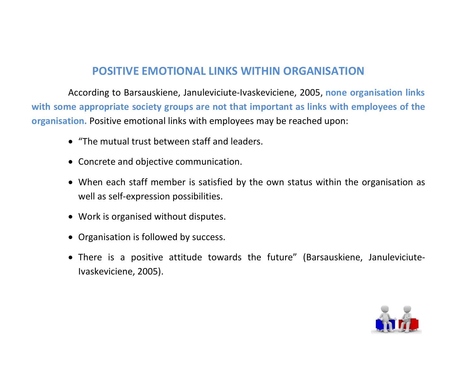## POSITIVE EMOTIONAL LINKS WITHIN ORGANISATION

 According to Barsauskiene, Januleviciute-Ivaskeviciene, 2005, none organisation links with some appropriate society groups are not that important as links with employees of the organisation. Positive emotional links with employees may be reached upon:

- "The mutual trust between staff and leaders.
- Concrete and objective communication.
- When each staff member is satisfied by the own status within the organisation as well as self-expression possibilities.
- Work is organised without disputes.
- Organisation is followed by success.
- There is a positive attitude towards the future" (Barsauskiene, Januleviciute-Ivaskeviciene, 2005).

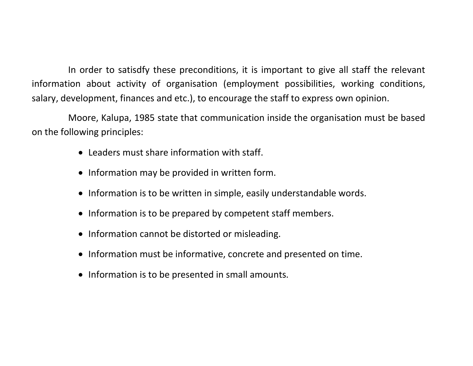In order to satisdfy these preconditions, it is important to give all staff the relevant information about activity of organisation (employment possibilities, working conditions, salary, development, finances and etc.), to encourage the staff to express own opinion.

Moore, Kalupa, 1985 state that communication inside the organisation must be based on the following principles:

- Leaders must share information with staff.
- Information may be provided in written form.
- Information is to be written in simple, easily understandable words.
- Information is to be prepared by competent staff members.
- Information cannot be distorted or misleading.
- Information must be informative, concrete and presented on time.
- Information is to be presented in small amounts.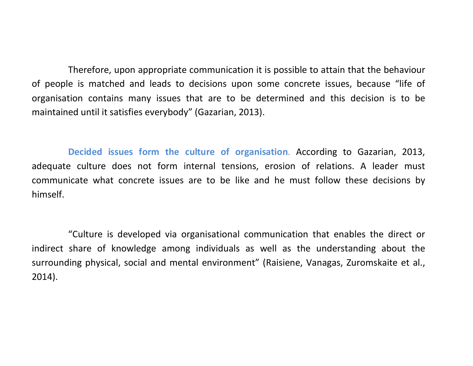Therefore, upon appropriate communication it is possible to attain that the behaviour of people is matched and leads to decisions upon some concrete issues, because "life of organisation contains many issues that are to be determined and this decision is to be maintained until it satisfies everybody" (Gazarian, 2013).

Decided issues form the culture of organisation. According to Gazarian, 2013, adequate culture does not form internal tensions, erosion of relations. A leader must communicate what concrete issues are to be like and he must follow these decisions by himself.

"Culture is developed via organisational communication that enables the direct or indirect share of knowledge among individuals as well as the understanding about the surrounding physical, social and mental environment" (Raisiene, Vanagas, Zuromskaite et al., 2014).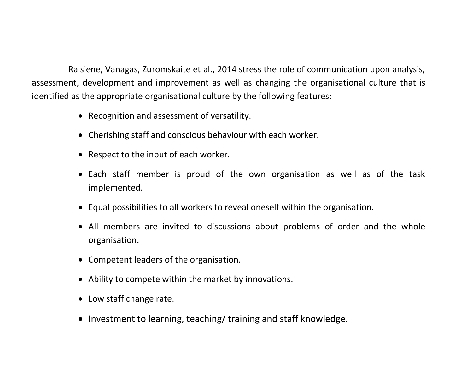Raisiene, Vanagas, Zuromskaite et al., 2014 stress the role of communication upon analysis, assessment, development and improvement as well as changing the organisational culture that is identified as the appropriate organisational culture by the following features:

- Recognition and assessment of versatility.
- Cherishing staff and conscious behaviour with each worker.
- Respect to the input of each worker.
- Each staff member is proud of the own organisation as well as of the task implemented.
- Equal possibilities to all workers to reveal oneself within the organisation.
- All members are invited to discussions about problems of order and the whole organisation.
- Competent leaders of the organisation.
- Ability to compete within the market by innovations.
- Low staff change rate.
- Investment to learning, teaching/ training and staff knowledge.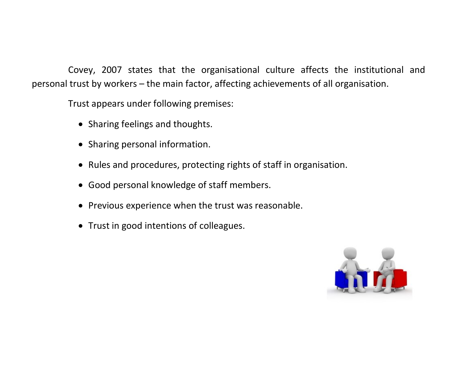Covey, 2007 states that the organisational culture affects the institutional and personal trust by workers – the main factor, affecting achievements of all organisation.

Trust appears under following premises:

- Sharing feelings and thoughts.
- Sharing personal information.
- Rules and procedures, protecting rights of staff in organisation.
- Good personal knowledge of staff members.
- Previous experience when the trust was reasonable.
- Trust in good intentions of colleagues.

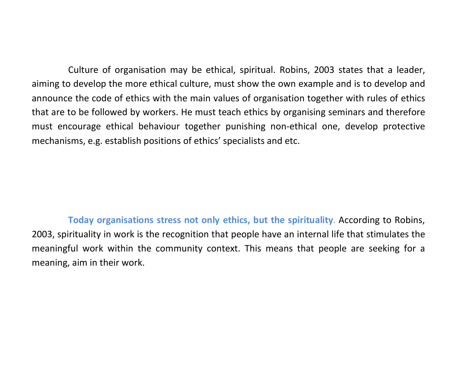Culture of organisation may be ethical, spiritual. Robins, 2003 states that a leader, aiming to develop the more ethical culture, must show the own example and is to develop and announce the code of ethics with the main values of organisation together with rules of ethics that are to be followed by workers. He must teach ethics by organising seminars and therefore must encourage ethical behaviour together punishing non-ethical one, develop protective mechanisms, e.g. establish positions of ethics' specialists and etc.

Today organisations stress not only ethics, but the spirituality. According to Robins, 2003, spirituality in work is the recognition that people have an internal life that stimulates the meaningful work within the community context. This means that people are seeking for a meaning, aim in their work.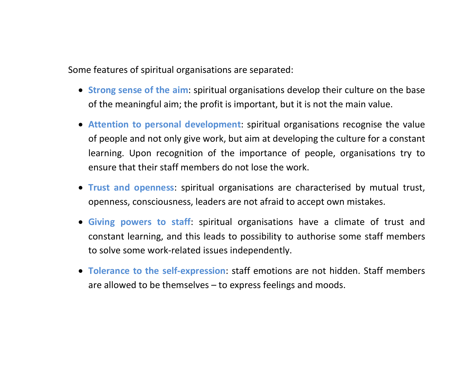Some features of spiritual organisations are separated:

- Strong sense of the aim: spiritual organisations develop their culture on the base of the meaningful aim; the profit is important, but it is not the main value.
- Attention to personal development: spiritual organisations recognise the value of people and not only give work, but aim at developing the culture for a constant learning. Upon recognition of the importance of people, organisations try to ensure that their staff members do not lose the work.
- Trust and openness: spiritual organisations are characterised by mutual trust, openness, consciousness, leaders are not afraid to accept own mistakes.
- Giving powers to staff: spiritual organisations have a climate of trust and constant learning, and this leads to possibility to authorise some staff members to solve some work-related issues independently.
- Tolerance to the self-expression: staff emotions are not hidden. Staff members are allowed to be themselves – to express feelings and moods.